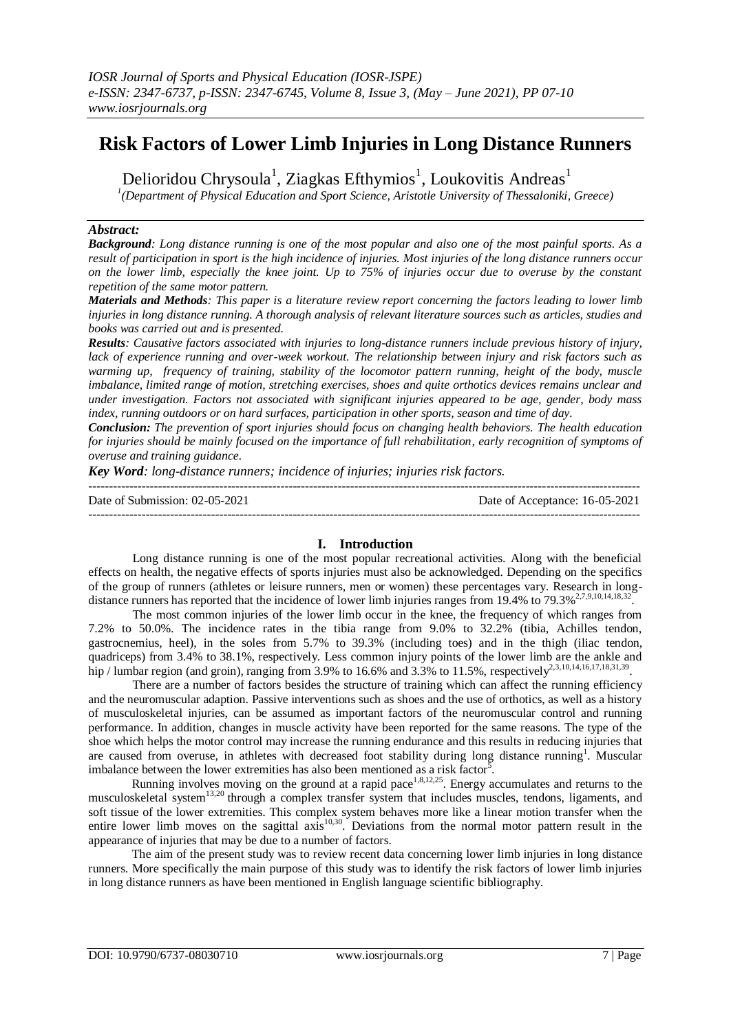# **Risk Factors of Lower Limb Injuries in Long Distance Runners**

Delioridou Chrysoula<sup>1</sup>, Ziagkas Efthymios<sup>1</sup>, Loukovitis Andreas<sup>1</sup>

*1 (Department of Physical Education and Sport Science, Aristotle University of Thessaloniki, Greece)*

## *Abstract:*

*Background: Long distance running is one of the most popular and also one of the most painful sports. As a result of participation in sport is the high incidence of injuries. Most injuries of the long distance runners occur on the lower limb, especially the knee joint. Up to 75% of injuries occur due to overuse by the constant repetition of the same motor pattern.*

*Materials and Methods: This paper is a literature review report concerning the factors leading to lower limb injuries in long distance running. A thorough analysis of relevant literature sources such as articles, studies and books was carried out and is presented.*

*Results: Causative factors associated with injuries to long-distance runners include previous history of injury, lack of experience running and over-week workout. The relationship between injury and risk factors such as warming up, frequency of training, stability of the locomotor pattern running, height of the body, muscle imbalance, limited range of motion, stretching exercises, shoes and quite orthotics devices remains unclear and under investigation. Factors not associated with significant injuries appeared to be age, gender, body mass index, running outdoors or on hard surfaces, participation in other sports, season and time of day.*

*Conclusion: The prevention of sport injuries should focus on changing health behaviors. The health education for injuries should be mainly focused on the importance of full rehabilitation, early recognition of symptoms of overuse and training guidance.*

*Key Word: long-distance runners; incidence of injuries; injuries risk factors.*

| Date of Submission: $02-05-2021$ | Date of Acceptance: 16-05-2021 |
|----------------------------------|--------------------------------|
|                                  |                                |

# **I. Introduction**

Long distance running is one of the most popular recreational activities. Along with the beneficial effects on health, the negative effects of sports injuries must also be acknowledged. Depending on the specifics of the group of runners (athletes or leisure runners, men or women) these percentages vary. Research in longdistance runners has reported that the incidence of lower limb injuries ranges from 19.4% to 79.3%<sup>2,7,9,10,14,18,32</sup> .

The most common injuries of the lower limb occur in the knee, the frequency of which ranges from 7.2% to 50.0%. The incidence rates in the tibia range from 9.0% to 32.2% (tibia, Achilles tendon, gastrocnemius, heel), in the soles from 5.7% to 39.3% (including toes) and in the thigh (iliac tendon, quadriceps) from 3.4% to 38.1%, respectively. Less common injury points of the lower limb are the ankle and hip / lumbar region (and groin), ranging from 3.9% to 16.6% and 3.3% to 11.5%, respectively<sup>2,3,10,14,16,17,18,31,39</sup>.

There are a number of factors besides the structure of training which can affect the running efficiency and the neuromuscular adaption. Passive interventions such as shoes and the use of orthotics, as well as a history of musculoskeletal injuries, can be assumed as important factors of the neuromuscular control and running performance. In addition, changes in muscle activity have been reported for the same reasons. The type of the shoe which helps the motor control may increase the running endurance and this results in reducing injuries that are caused from overuse, in athletes with decreased foot stability during long distance running<sup>1</sup>. Muscular imbalance between the lower extremities has also been mentioned as a risk factor<sup>5</sup>.

Running involves moving on the ground at a rapid pace<sup>1,8,12,25</sup>. Energy accumulates and returns to the musculoskeletal system<sup>13,20</sup> through a complex transfer system that includes muscles, tendons, ligaments, and soft tissue of the lower extremities. This complex system behaves more like a linear motion transfer when the entire lower limb moves on the sagittal axis<sup>10,30</sup>. Deviations from the normal motor pattern result in the appearance of injuries that may be due to a number of factors.

The aim of the present study was to review recent data concerning lower limb injuries in long distance runners. More specifically the main purpose of this study was to identify the risk factors of lower limb injuries in long distance runners as have been mentioned in English language scientific bibliography.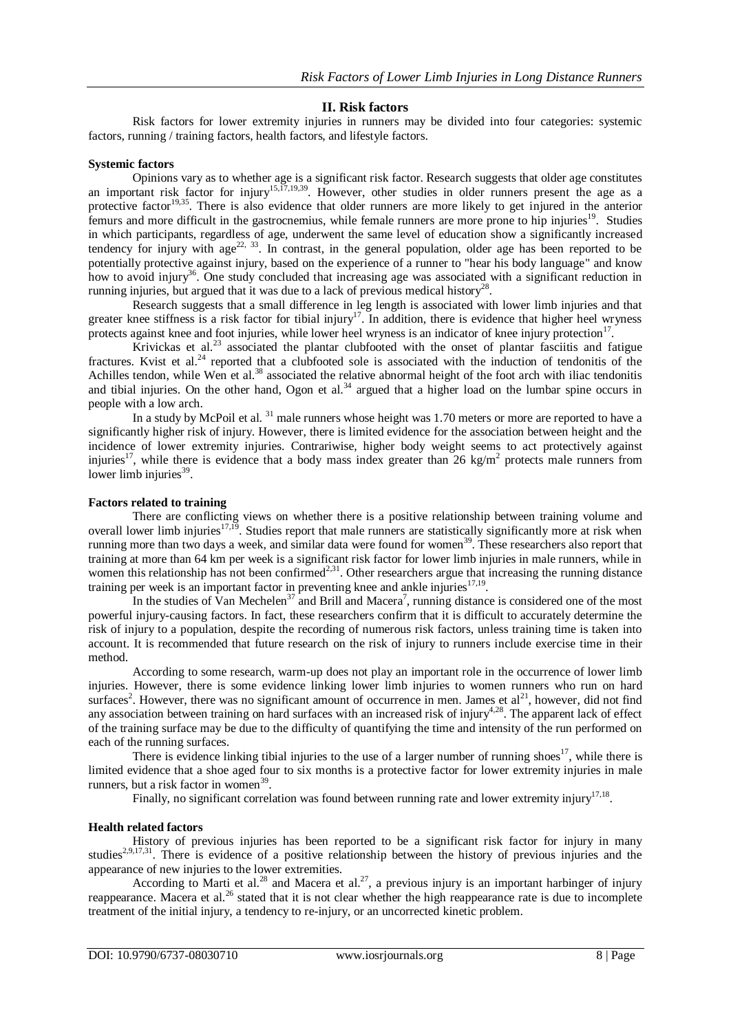## **II. Risk factors**

Risk factors for lower extremity injuries in runners may be divided into four categories: systemic factors, running / training factors, health factors, and lifestyle factors.

### **Systemic factors**

Opinions vary as to whether age is a significant risk factor. Research suggests that older age constitutes an important risk factor for injury<sup>15,17,19,39</sup>. However, other studies in older runners present the age as a protective factor<sup>19,35</sup>. There is also evidence that older runners are more likely to get injured in the anterior femurs and more difficult in the gastrocnemius, while female runners are more prone to hip injuries<sup>19</sup>. Studies in which participants, regardless of age, underwent the same level of education show a significantly increased tendency for injury with age<sup>22, 33</sup>. In contrast, in the general population, older age has been reported to be potentially protective against injury, based on the experience of a runner to "hear his body language" and know how to avoid injury<sup>36</sup>. One study concluded that increasing age was associated with a significant reduction in running injuries, but argued that it was due to a lack of previous medical history<sup>28</sup>.

Research suggests that a small difference in leg length is associated with lower limb injuries and that greater knee stiffness is a risk factor for tibial injury<sup>17</sup>. In addition, there is evidence that higher heel wryness protects against knee and foot injuries, while lower heel wryness is an indicator of knee injury protection<sup>17</sup> .

Krivickas et al.<sup>23</sup> associated the plantar clubfooted with the onset of plantar fasciitis and fatigue fractures. Kvist et al.<sup>24</sup> reported that a clubfooted sole is associated with the induction of tendonitis of the Achilles tendon, while Wen et al.<sup>38</sup> associated the relative abnormal height of the foot arch with iliac tendonitis and tibial injuries. On the other hand, Ogon et al.<sup>34</sup> argued that a higher load on the lumbar spine occurs in people with a low arch.

In a study by McPoil et al.<sup>31</sup> male runners whose height was 1.70 meters or more are reported to have a significantly higher risk of injury. However, there is limited evidence for the association between height and the incidence of lower extremity injuries. Contrariwise, higher body weight seems to act protectively against injuries<sup>17</sup>, while there is evidence that a body mass index greater than 26 kg/m<sup>2</sup> protects male runners from lower limb injuries $39$ .

## **Factors related to training**

There are conflicting views on whether there is a positive relationship between training volume and overall lower limb injuries<sup>17,19</sup>. Studies report that male runners are statistically significantly more at risk when running more than two days a week, and similar data were found for women<sup>39</sup>. These researchers also report that training at more than 64 km per week is a significant risk factor for lower limb injuries in male runners, while in women this relationship has not been confirmed<sup>2,31</sup>. Other researchers argue that increasing the running distance training per week is an important factor in preventing knee and ankle injuries $17,19$ .

In the studies of Van Mechelen<sup>37</sup> and Brill and Macera<sup>7</sup>, running distance is considered one of the most powerful injury-causing factors. In fact, these researchers confirm that it is difficult to accurately determine the risk of injury to a population, despite the recording of numerous risk factors, unless training time is taken into account. It is recommended that future research on the risk of injury to runners include exercise time in their method.

According to some research, warm-up does not play an important role in the occurrence of lower limb injuries. However, there is some evidence linking lower limb injuries to women runners who run on hard surfaces<sup>2</sup>. However, there was no significant amount of occurrence in men. James et  $al^{21}$ , however, did not find any association between training on hard surfaces with an increased risk of injury<sup>4,28</sup>. The apparent lack of effect of the training surface may be due to the difficulty of quantifying the time and intensity of the run performed on each of the running surfaces.

There is evidence linking tibial injuries to the use of a larger number of running shoes<sup>17</sup>, while there is limited evidence that a shoe aged four to six months is a protective factor for lower extremity injuries in male runners, but a risk factor in women<sup>39</sup>.

Finally, no significant correlation was found between running rate and lower extremity injury<sup>17,18</sup>.

## **Health related factors**

History of previous injuries has been reported to be a significant risk factor for injury in many studies<sup>2,9,17,31</sup>. There is evidence of a positive relationship between the history of previous injuries and the appearance of new injuries to the lower extremities.

According to Marti et al.<sup>28</sup> and Macera et al.<sup>27</sup>, a previous injury is an important harbinger of injury reappearance. Macera et al.<sup>26</sup> stated that it is not clear whether the high reappearance rate is due to incomplete treatment of the initial injury, a tendency to re-injury, or an uncorrected kinetic problem.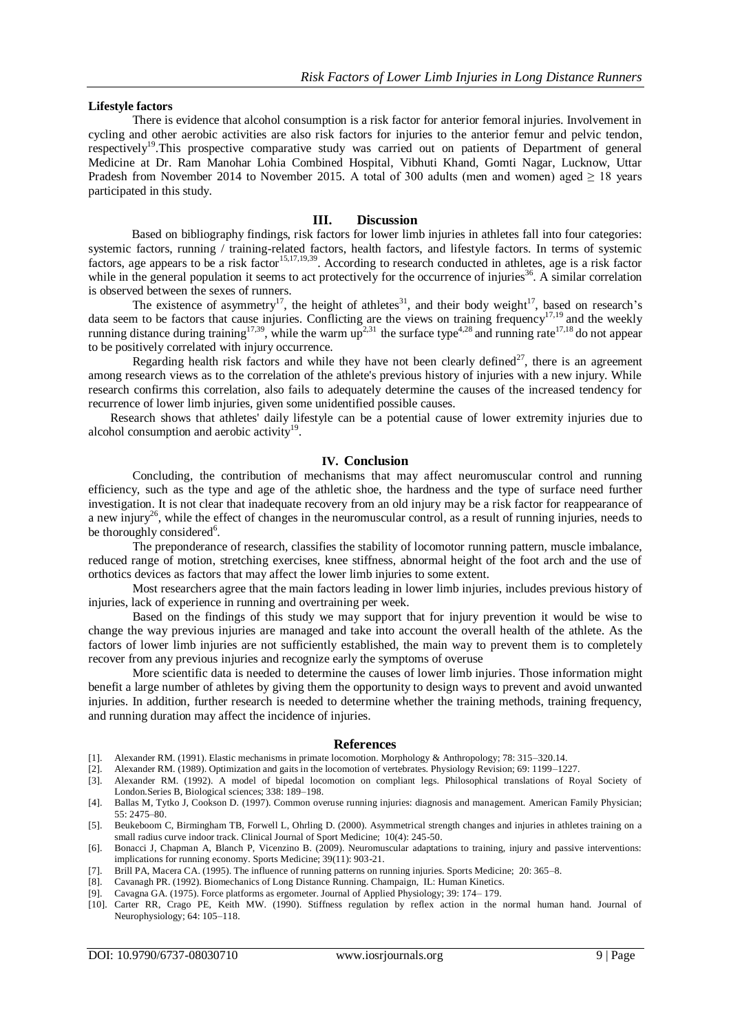#### **Lifestyle factors**

There is evidence that alcohol consumption is a risk factor for anterior femoral injuries. Involvement in cycling and other aerobic activities are also risk factors for injuries to the anterior femur and pelvic tendon, respectively<sup>19</sup>. This prospective comparative study was carried out on patients of Department of general Medicine at Dr. Ram Manohar Lohia Combined Hospital, Vibhuti Khand, Gomti Nagar, Lucknow, Uttar Pradesh from November 2014 to November 2015. A total of 300 adults (men and women) aged  $\geq 18$  years participated in this study.

### **III. Discussion**

Based on bibliography findings, risk factors for lower limb injuries in athletes fall into four categories: systemic factors, running / training-related factors, health factors, and lifestyle factors. In terms of systemic factors, age appears to be a risk factor<sup>15,17,19,39</sup>. According to research conducted in athletes, age is a risk factor while in the general population it seems to act protectively for the occurrence of injuries<sup>36</sup>. A similar correlation is observed between the sexes of runners.

The existence of asymmetry<sup>17</sup>, the height of athletes<sup>31</sup>, and their body weight<sup>17</sup>, based on research's data seem to be factors that cause injuries. Conflicting are the views on training frequency<sup>17,19</sup> and the weekly running distance during training<sup>17,39</sup>, while the warm  $up^{2,31}$  the surface type<sup>4,28</sup> and running rate<sup>17,18</sup> do not appear to be positively correlated with injury occurrence.

Regarding health risk factors and while they have not been clearly defined<sup>27</sup>, there is an agreement among research views as to the correlation of the athlete's previous history of injuries with a new injury. While research confirms this correlation, also fails to adequately determine the causes of the increased tendency for recurrence of lower limb injuries, given some unidentified possible causes.

Research shows that athletes' daily lifestyle can be a potential cause of lower extremity injuries due to alcohol consumption and aerobic activity<sup>19</sup>.

## **IV. Conclusion**

Concluding, the contribution of mechanisms that may affect neuromuscular control and running efficiency, such as the type and age of the athletic shoe, the hardness and the type of surface need further investigation. It is not clear that inadequate recovery from an old injury may be a risk factor for reappearance of a new injury<sup>26</sup>, while the effect of changes in the neuromuscular control, as a result of running injuries, needs to be thoroughly considered<sup>6</sup>.

Τhe preponderance of research, classifies the stability of locomotor running pattern, muscle imbalance, reduced range of motion, stretching exercises, knee stiffness, abnormal height of the foot arch and the use of orthotics devices as factors that may affect the lower limb injuries to some extent.

Most researchers agree that the main factors leading in lower limb injuries, includes previous history of injuries, lack of experience in running and overtraining per week.

Based on the findings of this study we may support that for injury prevention it would be wise to change the way previous injuries are managed and take into account the overall health of the athlete. As the factors of lower limb injuries are not sufficiently established, the main way to prevent them is to completely recover from any previous injuries and recognize early the symptoms of overuse

More scientific data is needed to determine the causes of lower limb injuries. Those information might benefit a large number of athletes by giving them the opportunity to design ways to prevent and avoid unwanted injuries. In addition, further research is needed to determine whether the training methods, training frequency, and running duration may affect the incidence of injuries.

#### **References**

- [1]. Alexander RM. (1991). Elastic mechanisms in primate locomotion. Morphology & Anthropology; 78: 315–320.14.
- [2]. Alexander RM. (1989). Optimization and gaits in the locomotion of vertebrates. Physiology Revision; 69: 1199–1227.
- [3]. Alexander RM. (1992). A model of bipedal locomotion on compliant legs. Philosophical translations of Royal Society of London.Series B, Biological sciences; 338: 189–198.
- [4]. Ballas M, Tytko J, Cookson D. (1997). Common overuse running injuries: diagnosis and management. American Family Physician; 55: 2475–80.
- [5]. Beukeboom C, Birmingham TB, Forwell L, Ohrling D. (2000). Asymmetrical strength changes and injuries in athletes training on a small radius curve indoor track. Clinical Journal of Sport Medicine; 10(4): 245-50.
- [6]. Bonacci J, Chapman A, Blanch P, Vicenzino B. (2009). Neuromuscular adaptations to training, injury and passive interventions: implications for running economy. Sports Medicine; 39(11): 903-21.
- [7]. Brill PA, Macera CA. (1995). The influence of running patterns on running injuries. Sports Medicine; 20: 365–8.
- [8]. Cavanagh PR. (1992). Biomechanics of Long Distance Running. Champaign, IL: Human Kinetics.
- [9]. Cavagna GA. (1975). Force platforms as ergometer. Journal of Applied Physiology; 39: 174– 179.
- [10]. Carter RR, Crago PE, Keith MW. (1990). Stiffness regulation by reflex action in the normal human hand. Journal of Neurophysiology; 64: 105–118.